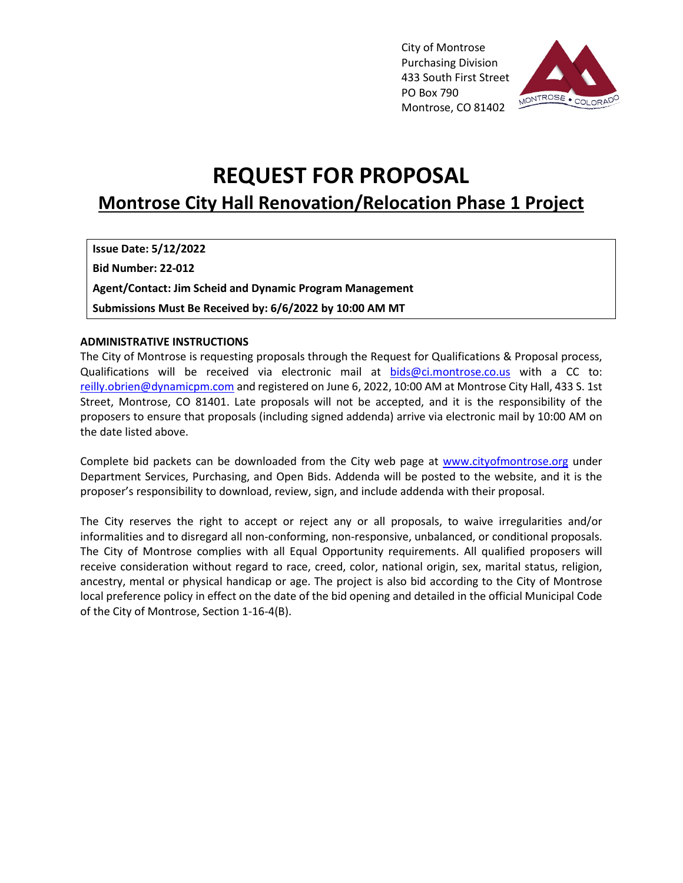City of Montrose Purchasing Division 433 South First Street PO Box 790 Montrose, CO 81402



# **REQUEST FOR PROPOSAL Montrose City Hall Renovation/Relocation Phase 1 Project**

**Issue Date: 5/12/2022 Bid Number: 22-012 Agent/Contact: Jim Scheid and Dynamic Program Management Submissions Must Be Received by: 6/6/2022 by 10:00 AM MT** 

#### **ADMINISTRATIVE INSTRUCTIONS**

The City of Montrose is requesting proposals through the Request for Qualifications & Proposal process, Qualifications will be received via electronic mail at bids@ci.montrose.co.us with a CC to: reilly.obrien@dynamicpm.com and registered on June 6, 2022, 10:00 AM at Montrose City Hall, 433 S. 1st Street, Montrose, CO 81401. Late proposals will not be accepted, and it is the responsibility of the proposers to ensure that proposals (including signed addenda) arrive via electronic mail by 10:00 AM on the date listed above.

Complete bid packets can be downloaded from the City web page at www.cityofmontrose.org under Department Services, Purchasing, and Open Bids. Addenda will be posted to the website, and it is the proposer's responsibility to download, review, sign, and include addenda with their proposal.

The City reserves the right to accept or reject any or all proposals, to waive irregularities and/or informalities and to disregard all non-conforming, non-responsive, unbalanced, or conditional proposals. The City of Montrose complies with all Equal Opportunity requirements. All qualified proposers will receive consideration without regard to race, creed, color, national origin, sex, marital status, religion, ancestry, mental or physical handicap or age. The project is also bid according to the City of Montrose local preference policy in effect on the date of the bid opening and detailed in the official Municipal Code of the City of Montrose, Section 1-16-4(B).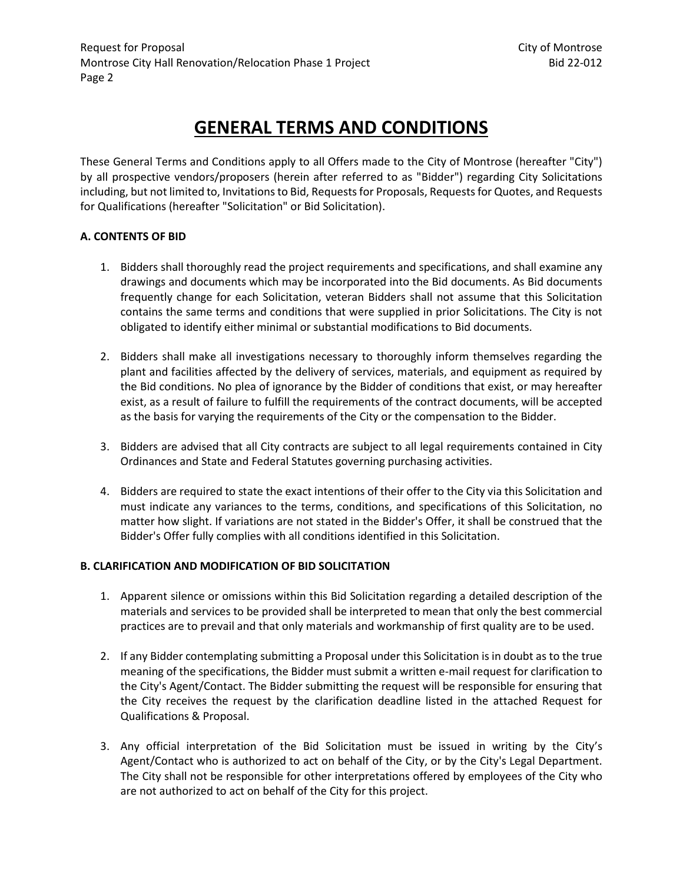# **GENERAL TERMS AND CONDITIONS**

These General Terms and Conditions apply to all Offers made to the City of Montrose (hereafter "City") by all prospective vendors/proposers (herein after referred to as "Bidder") regarding City Solicitations including, but not limited to, Invitations to Bid, Requests for Proposals, Requests for Quotes, and Requests for Qualifications (hereafter "Solicitation" or Bid Solicitation).

## **A. CONTENTS OF BID**

- 1. Bidders shall thoroughly read the project requirements and specifications, and shall examine any drawings and documents which may be incorporated into the Bid documents. As Bid documents frequently change for each Solicitation, veteran Bidders shall not assume that this Solicitation contains the same terms and conditions that were supplied in prior Solicitations. The City is not obligated to identify either minimal or substantial modifications to Bid documents.
- 2. Bidders shall make all investigations necessary to thoroughly inform themselves regarding the plant and facilities affected by the delivery of services, materials, and equipment as required by the Bid conditions. No plea of ignorance by the Bidder of conditions that exist, or may hereafter exist, as a result of failure to fulfill the requirements of the contract documents, will be accepted as the basis for varying the requirements of the City or the compensation to the Bidder.
- 3. Bidders are advised that all City contracts are subject to all legal requirements contained in City Ordinances and State and Federal Statutes governing purchasing activities.
- 4. Bidders are required to state the exact intentions of their offer to the City via this Solicitation and must indicate any variances to the terms, conditions, and specifications of this Solicitation, no matter how slight. If variations are not stated in the Bidder's Offer, it shall be construed that the Bidder's Offer fully complies with all conditions identified in this Solicitation.

# **B. CLARIFICATION AND MODIFICATION OF BID SOLICITATION**

- 1. Apparent silence or omissions within this Bid Solicitation regarding a detailed description of the materials and services to be provided shall be interpreted to mean that only the best commercial practices are to prevail and that only materials and workmanship of first quality are to be used.
- 2. If any Bidder contemplating submitting a Proposal under this Solicitation is in doubt as to the true meaning of the specifications, the Bidder must submit a written e-mail request for clarification to the City's Agent/Contact. The Bidder submitting the request will be responsible for ensuring that the City receives the request by the clarification deadline listed in the attached Request for Qualifications & Proposal.
- 3. Any official interpretation of the Bid Solicitation must be issued in writing by the City's Agent/Contact who is authorized to act on behalf of the City, or by the City's Legal Department. The City shall not be responsible for other interpretations offered by employees of the City who are not authorized to act on behalf of the City for this project.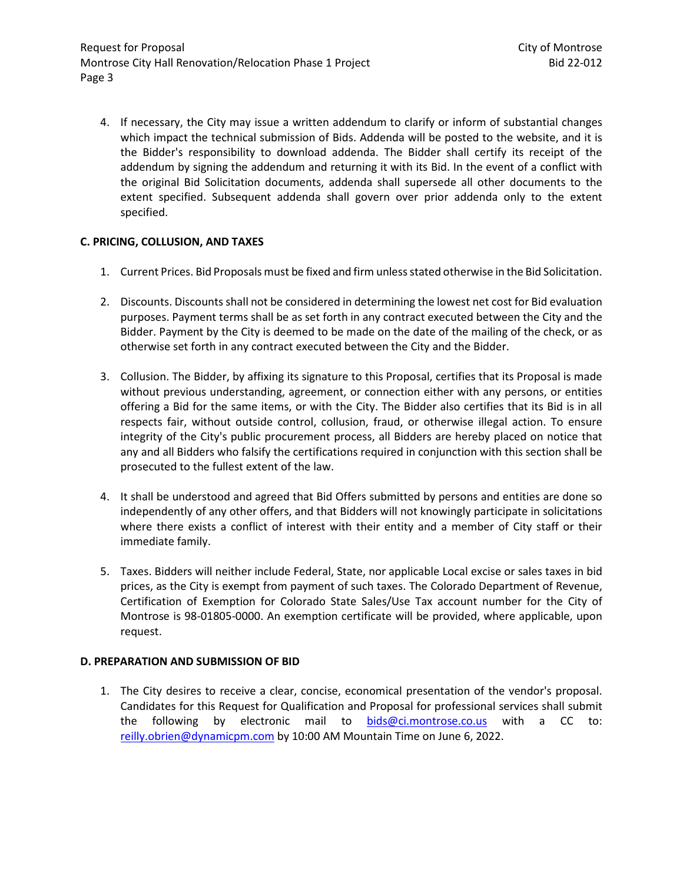4. If necessary, the City may issue a written addendum to clarify or inform of substantial changes which impact the technical submission of Bids. Addenda will be posted to the website, and it is the Bidder's responsibility to download addenda. The Bidder shall certify its receipt of the addendum by signing the addendum and returning it with its Bid. In the event of a conflict with the original Bid Solicitation documents, addenda shall supersede all other documents to the extent specified. Subsequent addenda shall govern over prior addenda only to the extent specified.

## **C. PRICING, COLLUSION, AND TAXES**

- 1. Current Prices. Bid Proposals must be fixed and firm unless stated otherwise in the Bid Solicitation.
- 2. Discounts. Discounts shall not be considered in determining the lowest net cost for Bid evaluation purposes. Payment terms shall be as set forth in any contract executed between the City and the Bidder. Payment by the City is deemed to be made on the date of the mailing of the check, or as otherwise set forth in any contract executed between the City and the Bidder.
- 3. Collusion. The Bidder, by affixing its signature to this Proposal, certifies that its Proposal is made without previous understanding, agreement, or connection either with any persons, or entities offering a Bid for the same items, or with the City. The Bidder also certifies that its Bid is in all respects fair, without outside control, collusion, fraud, or otherwise illegal action. To ensure integrity of the City's public procurement process, all Bidders are hereby placed on notice that any and all Bidders who falsify the certifications required in conjunction with this section shall be prosecuted to the fullest extent of the law.
- 4. It shall be understood and agreed that Bid Offers submitted by persons and entities are done so independently of any other offers, and that Bidders will not knowingly participate in solicitations where there exists a conflict of interest with their entity and a member of City staff or their immediate family.
- 5. Taxes. Bidders will neither include Federal, State, nor applicable Local excise or sales taxes in bid prices, as the City is exempt from payment of such taxes. The Colorado Department of Revenue, Certification of Exemption for Colorado State Sales/Use Tax account number for the City of Montrose is 98-01805-0000. An exemption certificate will be provided, where applicable, upon request.

#### **D. PREPARATION AND SUBMISSION OF BID**

1. The City desires to receive a clear, concise, economical presentation of the vendor's proposal. Candidates for this Request for Qualification and Proposal for professional services shall submit the following by electronic mail to bids@ci.montrose.co.us with a CC to: reilly.obrien@dynamicpm.com by 10:00 AM Mountain Time on June 6, 2022.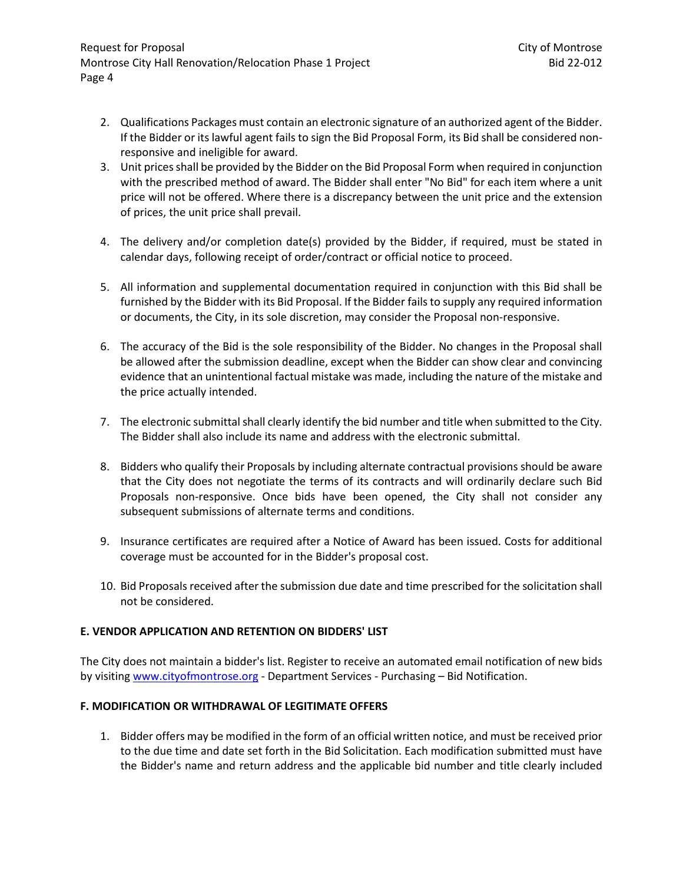- 2. Qualifications Packages must contain an electronic signature of an authorized agent of the Bidder. If the Bidder or its lawful agent fails to sign the Bid Proposal Form, its Bid shall be considered nonresponsive and ineligible for award.
- 3. Unit prices shall be provided by the Bidder on the Bid Proposal Form when required in conjunction with the prescribed method of award. The Bidder shall enter "No Bid" for each item where a unit price will not be offered. Where there is a discrepancy between the unit price and the extension of prices, the unit price shall prevail.
- 4. The delivery and/or completion date(s) provided by the Bidder, if required, must be stated in calendar days, following receipt of order/contract or official notice to proceed.
- 5. All information and supplemental documentation required in conjunction with this Bid shall be furnished by the Bidder with its Bid Proposal. If the Bidder fails to supply any required information or documents, the City, in its sole discretion, may consider the Proposal non-responsive.
- 6. The accuracy of the Bid is the sole responsibility of the Bidder. No changes in the Proposal shall be allowed after the submission deadline, except when the Bidder can show clear and convincing evidence that an unintentional factual mistake was made, including the nature of the mistake and the price actually intended.
- 7. The electronic submittal shall clearly identify the bid number and title when submitted to the City. The Bidder shall also include its name and address with the electronic submittal.
- 8. Bidders who qualify their Proposals by including alternate contractual provisions should be aware that the City does not negotiate the terms of its contracts and will ordinarily declare such Bid Proposals non-responsive. Once bids have been opened, the City shall not consider any subsequent submissions of alternate terms and conditions.
- 9. Insurance certificates are required after a Notice of Award has been issued. Costs for additional coverage must be accounted for in the Bidder's proposal cost.
- 10. Bid Proposals received after the submission due date and time prescribed for the solicitation shall not be considered.

#### **E. VENDOR APPLICATION AND RETENTION ON BIDDERS' LIST**

The City does not maintain a bidder's list. Register to receive an automated email notification of new bids by visiting www.cityofmontrose.org - Department Services - Purchasing – Bid Notification.

#### **F. MODIFICATION OR WITHDRAWAL OF LEGITIMATE OFFERS**

1. Bidder offers may be modified in the form of an official written notice, and must be received prior to the due time and date set forth in the Bid Solicitation. Each modification submitted must have the Bidder's name and return address and the applicable bid number and title clearly included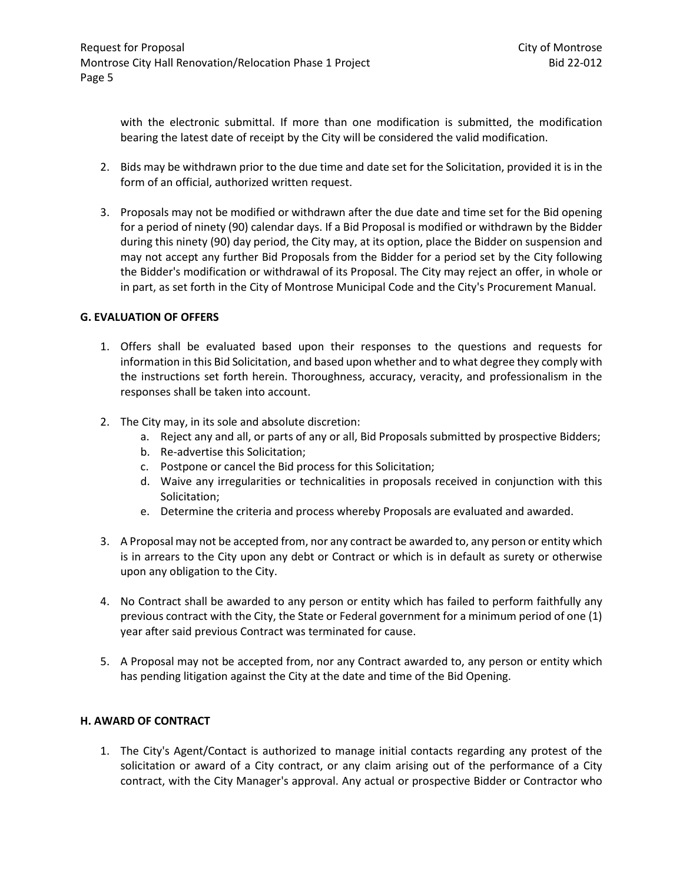with the electronic submittal. If more than one modification is submitted, the modification bearing the latest date of receipt by the City will be considered the valid modification.

- 2. Bids may be withdrawn prior to the due time and date set for the Solicitation, provided it is in the form of an official, authorized written request.
- 3. Proposals may not be modified or withdrawn after the due date and time set for the Bid opening for a period of ninety (90) calendar days. If a Bid Proposal is modified or withdrawn by the Bidder during this ninety (90) day period, the City may, at its option, place the Bidder on suspension and may not accept any further Bid Proposals from the Bidder for a period set by the City following the Bidder's modification or withdrawal of its Proposal. The City may reject an offer, in whole or in part, as set forth in the City of Montrose Municipal Code and the City's Procurement Manual.

#### **G. EVALUATION OF OFFERS**

- 1. Offers shall be evaluated based upon their responses to the questions and requests for information in this Bid Solicitation, and based upon whether and to what degree they comply with the instructions set forth herein. Thoroughness, accuracy, veracity, and professionalism in the responses shall be taken into account.
- 2. The City may, in its sole and absolute discretion:
	- a. Reject any and all, or parts of any or all, Bid Proposals submitted by prospective Bidders;
	- b. Re-advertise this Solicitation;
	- c. Postpone or cancel the Bid process for this Solicitation;
	- d. Waive any irregularities or technicalities in proposals received in conjunction with this Solicitation;
	- e. Determine the criteria and process whereby Proposals are evaluated and awarded.
- 3. A Proposal may not be accepted from, nor any contract be awarded to, any person or entity which is in arrears to the City upon any debt or Contract or which is in default as surety or otherwise upon any obligation to the City.
- 4. No Contract shall be awarded to any person or entity which has failed to perform faithfully any previous contract with the City, the State or Federal government for a minimum period of one (1) year after said previous Contract was terminated for cause.
- 5. A Proposal may not be accepted from, nor any Contract awarded to, any person or entity which has pending litigation against the City at the date and time of the Bid Opening.

#### **H. AWARD OF CONTRACT**

1. The City's Agent/Contact is authorized to manage initial contacts regarding any protest of the solicitation or award of a City contract, or any claim arising out of the performance of a City contract, with the City Manager's approval. Any actual or prospective Bidder or Contractor who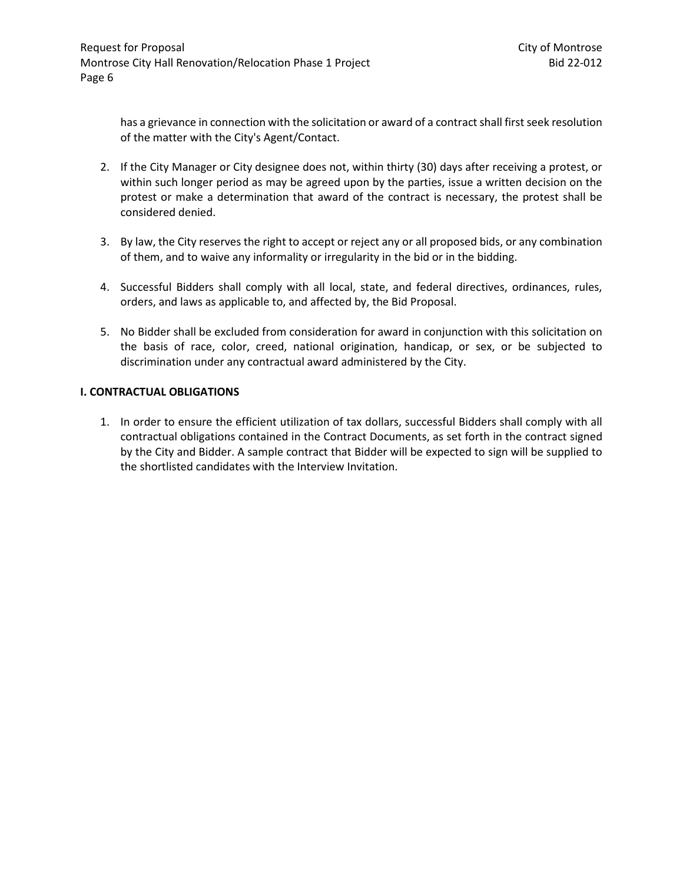has a grievance in connection with the solicitation or award of a contract shall first seek resolution of the matter with the City's Agent/Contact.

- 2. If the City Manager or City designee does not, within thirty (30) days after receiving a protest, or within such longer period as may be agreed upon by the parties, issue a written decision on the protest or make a determination that award of the contract is necessary, the protest shall be considered denied.
- 3. By law, the City reserves the right to accept or reject any or all proposed bids, or any combination of them, and to waive any informality or irregularity in the bid or in the bidding.
- 4. Successful Bidders shall comply with all local, state, and federal directives, ordinances, rules, orders, and laws as applicable to, and affected by, the Bid Proposal.
- 5. No Bidder shall be excluded from consideration for award in conjunction with this solicitation on the basis of race, color, creed, national origination, handicap, or sex, or be subjected to discrimination under any contractual award administered by the City.

#### **I. CONTRACTUAL OBLIGATIONS**

1. In order to ensure the efficient utilization of tax dollars, successful Bidders shall comply with all contractual obligations contained in the Contract Documents, as set forth in the contract signed by the City and Bidder. A sample contract that Bidder will be expected to sign will be supplied to the shortlisted candidates with the Interview Invitation.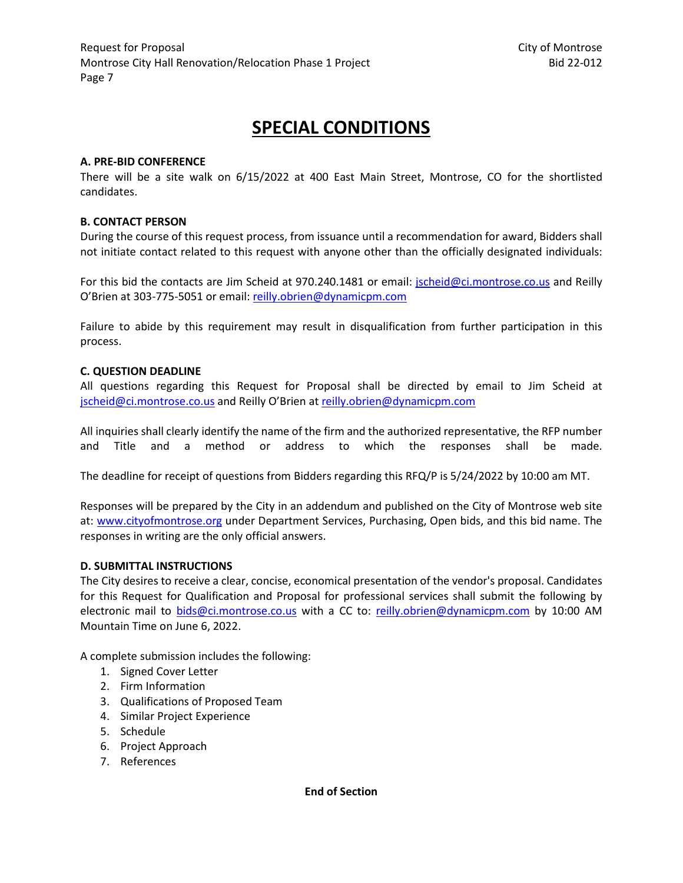# **SPECIAL CONDITIONS**

#### **A. PRE-BID CONFERENCE**

There will be a site walk on 6/15/2022 at 400 East Main Street, Montrose, CO for the shortlisted candidates.

## **B. CONTACT PERSON**

During the course of this request process, from issuance until a recommendation for award, Bidders shall not initiate contact related to this request with anyone other than the officially designated individuals:

For this bid the contacts are Jim Scheid at 970.240.1481 or email: jscheid@ci.montrose.co.us and Reilly O'Brien at 303-775-5051 or email: reilly.obrien@dynamicpm.com

Failure to abide by this requirement may result in disqualification from further participation in this process.

#### **C. QUESTION DEADLINE**

All questions regarding this Request for Proposal shall be directed by email to Jim Scheid at jscheid@ci.montrose.co.us and Reilly O'Brien at reilly.obrien@dynamicpm.com

All inquiries shall clearly identify the name of the firm and the authorized representative, the RFP number and Title and a method or address to which the responses shall be made.

The deadline for receipt of questions from Bidders regarding this RFQ/P is 5/24/2022 by 10:00 am MT.

Responses will be prepared by the City in an addendum and published on the City of Montrose web site at: www.cityofmontrose.org under Department Services, Purchasing, Open bids, and this bid name. The responses in writing are the only official answers.

#### **D. SUBMITTAL INSTRUCTIONS**

The City desires to receive a clear, concise, economical presentation of the vendor's proposal. Candidates for this Request for Qualification and Proposal for professional services shall submit the following by electronic mail to bids@ci.montrose.co.us with a CC to: reilly.obrien@dynamicpm.com by 10:00 AM Mountain Time on June 6, 2022.

A complete submission includes the following:

- 1. Signed Cover Letter
- 2. Firm Information
- 3. Qualifications of Proposed Team
- 4. Similar Project Experience
- 5. Schedule
- 6. Project Approach
- 7. References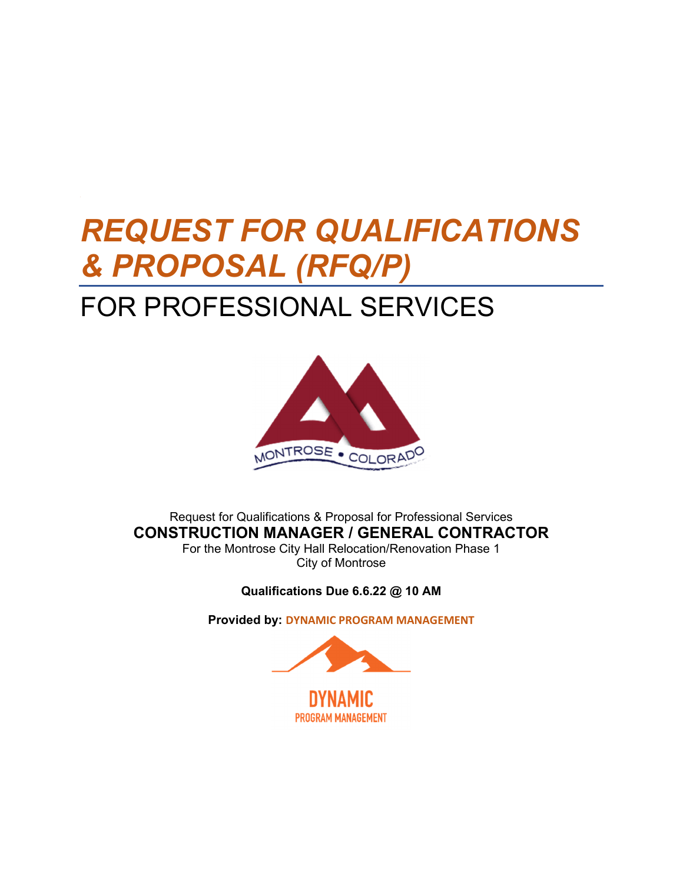# *REQUEST FOR QUALIFICATIONS & PROPOSAL (RFQ/P)*  FOR PROFESSIONAL SERVICES



Request for Qualifications & Proposal for Professional Services **CONSTRUCTION MANAGER / GENERAL CONTRACTOR**  For the Montrose City Hall Relocation/Renovation Phase 1

City of Montrose

**Qualifications Due 6.6.22 @ 10 AM** 

**Provided by: DYNAMIC PROGRAM MANAGEMENT**

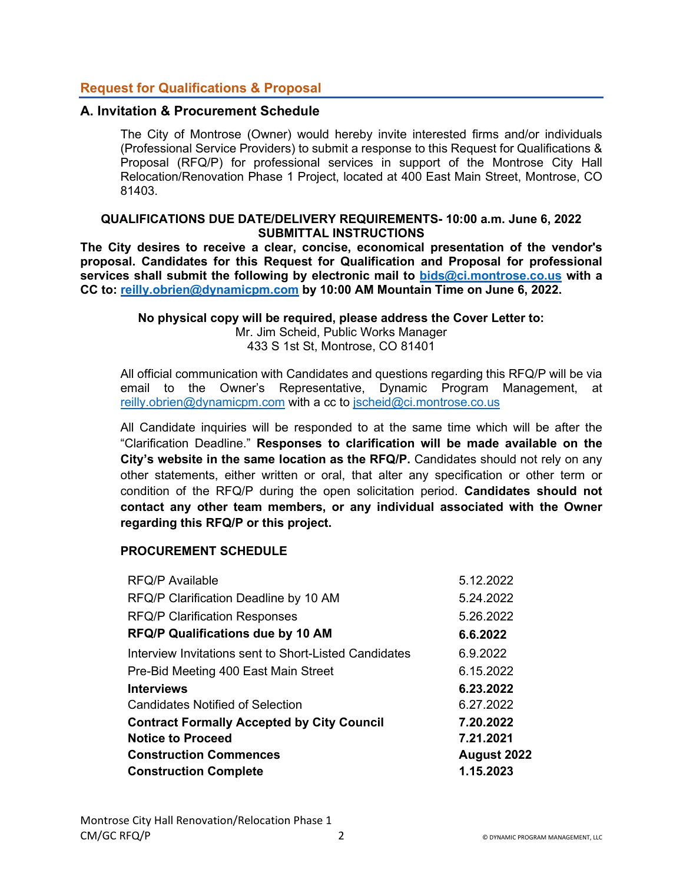# **Request for Qualifications & Proposal**

# **A. Invitation & Procurement Schedule**

The City of Montrose (Owner) would hereby invite interested firms and/or individuals (Professional Service Providers) to submit a response to this Request for Qualifications & Proposal (RFQ/P) for professional services in support of the Montrose City Hall Relocation/Renovation Phase 1 Project, located at 400 East Main Street, Montrose, CO 81403.

#### **QUALIFICATIONS DUE DATE/DELIVERY REQUIREMENTS- 10:00 a.m. June 6, 2022 SUBMITTAL INSTRUCTIONS**

**The City desires to receive a clear, concise, economical presentation of the vendor's proposal. Candidates for this Request for Qualification and Proposal for professional services shall submit the following by electronic mail to bids@ci.montrose.co.us with a CC to: reilly.obrien@dynamicpm.com by 10:00 AM Mountain Time on June 6, 2022.** 

**No physical copy will be required, please address the Cover Letter to:** 

Mr. Jim Scheid, Public Works Manager 433 S 1st St, Montrose, CO 81401

All official communication with Candidates and questions regarding this RFQ/P will be via email to the Owner's Representative, Dynamic Program Management, at reilly.obrien@dynamicpm.com with a cc to jscheid@ci.montrose.co.us

All Candidate inquiries will be responded to at the same time which will be after the "Clarification Deadline." **Responses to clarification will be made available on the City's website in the same location as the RFQ/P.** Candidates should not rely on any other statements, either written or oral, that alter any specification or other term or condition of the RFQ/P during the open solicitation period. **Candidates should not contact any other team members, or any individual associated with the Owner regarding this RFQ/P or this project.** 

# **PROCUREMENT SCHEDULE**

| <b>RFQ/P Available</b>                                | 5.12.2022   |
|-------------------------------------------------------|-------------|
| RFQ/P Clarification Deadline by 10 AM                 | 5.24.2022   |
| <b>RFQ/P Clarification Responses</b>                  | 5.26.2022   |
| <b>RFQ/P Qualifications due by 10 AM</b>              | 6.6.2022    |
| Interview Invitations sent to Short-Listed Candidates | 6.9.2022    |
| Pre-Bid Meeting 400 East Main Street                  | 6.15.2022   |
| <b>Interviews</b>                                     | 6.23.2022   |
| Candidates Notified of Selection                      | 6.27.2022   |
| <b>Contract Formally Accepted by City Council</b>     | 7.20.2022   |
| <b>Notice to Proceed</b>                              | 7.21.2021   |
| <b>Construction Commences</b>                         | August 2022 |
| <b>Construction Complete</b>                          | 1.15.2023   |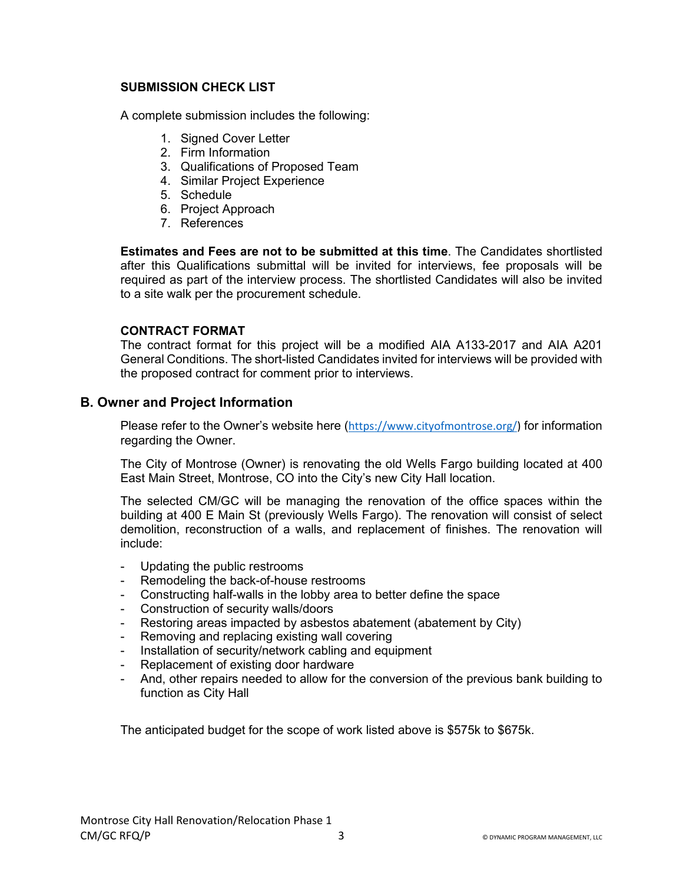# **SUBMISSION CHECK LIST**

A complete submission includes the following:

- 1. Signed Cover Letter
- 2. Firm Information
- 3. Qualifications of Proposed Team
- 4. Similar Project Experience
- 5. Schedule
- 6. Project Approach
- 7. References

**Estimates and Fees are not to be submitted at this time**. The Candidates shortlisted after this Qualifications submittal will be invited for interviews, fee proposals will be required as part of the interview process. The shortlisted Candidates will also be invited to a site walk per the procurement schedule.

# **CONTRACT FORMAT**

The contract format for this project will be a modified AIA A133-2017 and AIA A201 General Conditions. The short-listed Candidates invited for interviews will be provided with the proposed contract for comment prior to interviews.

# **B. Owner and Project Information**

Please refer to the Owner's website here (https://www.cityofmontrose.org/) for information regarding the Owner.

The City of Montrose (Owner) is renovating the old Wells Fargo building located at 400 East Main Street, Montrose, CO into the City's new City Hall location.

The selected CM/GC will be managing the renovation of the office spaces within the building at 400 E Main St (previously Wells Fargo). The renovation will consist of select demolition, reconstruction of a walls, and replacement of finishes. The renovation will include:

- Updating the public restrooms
- Remodeling the back-of-house restrooms
- Constructing half-walls in the lobby area to better define the space
- Construction of security walls/doors
- Restoring areas impacted by asbestos abatement (abatement by City)
- Removing and replacing existing wall covering
- Installation of security/network cabling and equipment
- Replacement of existing door hardware
- And, other repairs needed to allow for the conversion of the previous bank building to function as City Hall

The anticipated budget for the scope of work listed above is \$575k to \$675k.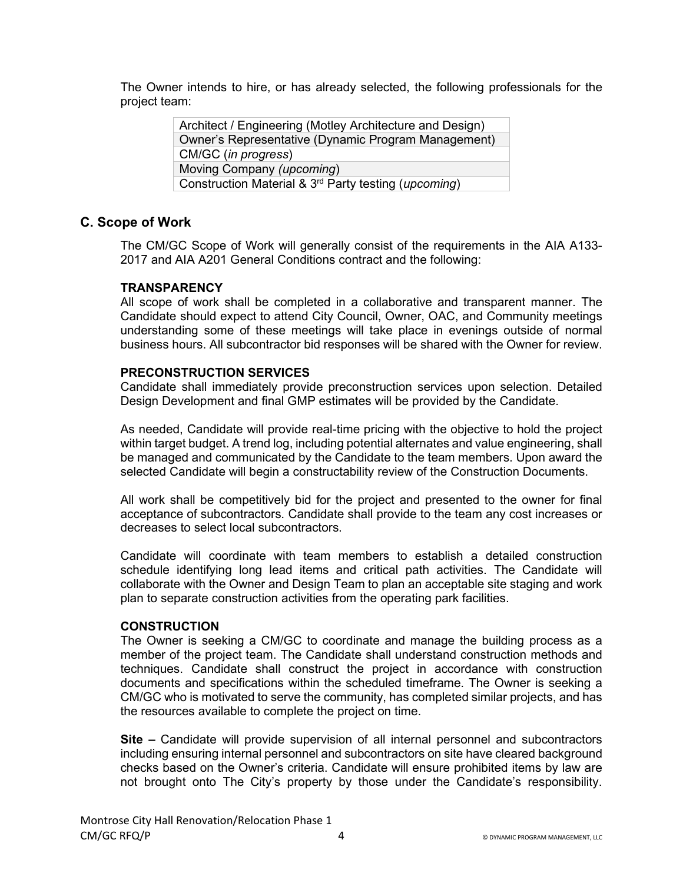The Owner intends to hire, or has already selected, the following professionals for the project team:

> Architect / Engineering (Motley Architecture and Design) Owner's Representative (Dynamic Program Management) CM/GC (*in progress*) Moving Company *(upcoming*) Construction Material & 3rd Party testing (*upcoming*)

# **C. Scope of Work**

The CM/GC Scope of Work will generally consist of the requirements in the AIA A133- 2017 and AIA A201 General Conditions contract and the following:

# **TRANSPARENCY**

All scope of work shall be completed in a collaborative and transparent manner. The Candidate should expect to attend City Council, Owner, OAC, and Community meetings understanding some of these meetings will take place in evenings outside of normal business hours. All subcontractor bid responses will be shared with the Owner for review.

# **PRECONSTRUCTION SERVICES**

Candidate shall immediately provide preconstruction services upon selection. Detailed Design Development and final GMP estimates will be provided by the Candidate.

As needed, Candidate will provide real-time pricing with the objective to hold the project within target budget. A trend log, including potential alternates and value engineering, shall be managed and communicated by the Candidate to the team members. Upon award the selected Candidate will begin a constructability review of the Construction Documents.

All work shall be competitively bid for the project and presented to the owner for final acceptance of subcontractors. Candidate shall provide to the team any cost increases or decreases to select local subcontractors.

Candidate will coordinate with team members to establish a detailed construction schedule identifying long lead items and critical path activities. The Candidate will collaborate with the Owner and Design Team to plan an acceptable site staging and work plan to separate construction activities from the operating park facilities.

# **CONSTRUCTION**

The Owner is seeking a CM/GC to coordinate and manage the building process as a member of the project team. The Candidate shall understand construction methods and techniques. Candidate shall construct the project in accordance with construction documents and specifications within the scheduled timeframe. The Owner is seeking a CM/GC who is motivated to serve the community, has completed similar projects, and has the resources available to complete the project on time.

**Site –** Candidate will provide supervision of all internal personnel and subcontractors including ensuring internal personnel and subcontractors on site have cleared background checks based on the Owner's criteria. Candidate will ensure prohibited items by law are not brought onto The City's property by those under the Candidate's responsibility.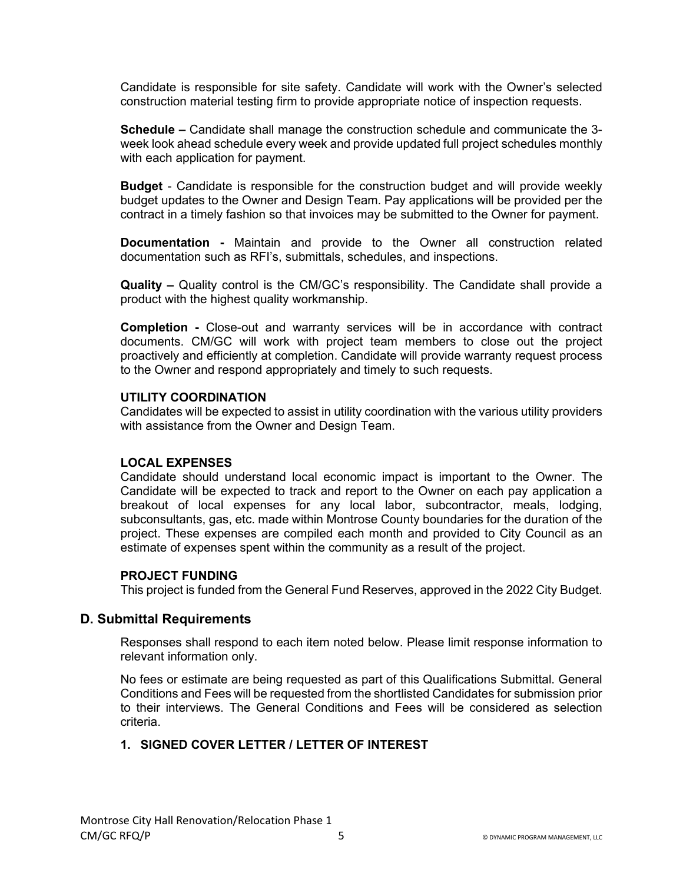Candidate is responsible for site safety. Candidate will work with the Owner's selected construction material testing firm to provide appropriate notice of inspection requests.

**Schedule –** Candidate shall manage the construction schedule and communicate the 3 week look ahead schedule every week and provide updated full project schedules monthly with each application for payment.

**Budget** - Candidate is responsible for the construction budget and will provide weekly budget updates to the Owner and Design Team. Pay applications will be provided per the contract in a timely fashion so that invoices may be submitted to the Owner for payment.

**Documentation -** Maintain and provide to the Owner all construction related documentation such as RFI's, submittals, schedules, and inspections.

**Quality –** Quality control is the CM/GC's responsibility. The Candidate shall provide a product with the highest quality workmanship.

**Completion -** Close-out and warranty services will be in accordance with contract documents. CM/GC will work with project team members to close out the project proactively and efficiently at completion. Candidate will provide warranty request process to the Owner and respond appropriately and timely to such requests.

## **UTILITY COORDINATION**

Candidates will be expected to assist in utility coordination with the various utility providers with assistance from the Owner and Design Team.

#### **LOCAL EXPENSES**

Candidate should understand local economic impact is important to the Owner. The Candidate will be expected to track and report to the Owner on each pay application a breakout of local expenses for any local labor, subcontractor, meals, lodging, subconsultants, gas, etc. made within Montrose County boundaries for the duration of the project. These expenses are compiled each month and provided to City Council as an estimate of expenses spent within the community as a result of the project.

#### **PROJECT FUNDING**

This project is funded from the General Fund Reserves, approved in the 2022 City Budget.

# **D. Submittal Requirements**

Responses shall respond to each item noted below. Please limit response information to relevant information only.

No fees or estimate are being requested as part of this Qualifications Submittal. General Conditions and Fees will be requested from the shortlisted Candidates for submission prior to their interviews. The General Conditions and Fees will be considered as selection criteria.

# **1. SIGNED COVER LETTER / LETTER OF INTEREST**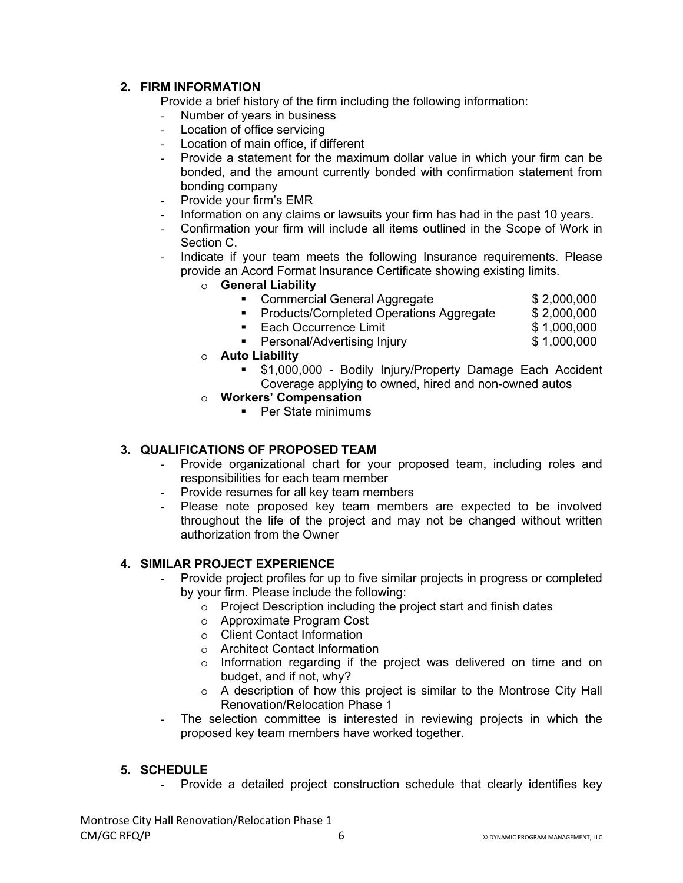# **2. FIRM INFORMATION**

Provide a brief history of the firm including the following information:

- Number of years in business
- Location of office servicing
- Location of main office, if different
- Provide a statement for the maximum dollar value in which your firm can be bonded, and the amount currently bonded with confirmation statement from bonding company
- Provide your firm's EMR
- Information on any claims or lawsuits your firm has had in the past 10 years.
- Confirmation your firm will include all items outlined in the Scope of Work in Section C.
- Indicate if your team meets the following Insurance requirements. Please provide an Acord Format Insurance Certificate showing existing limits.
	- o **General Liability**
		- Commercial General Aggregate **\$ 2,000,000**
		- **Products/Completed Operations Aggregate** \$ 2,000,000
		- Each Occurrence Limit \$ 1,000,000
		- Personal/Advertising Injury by \$1,000,000
	- o **Auto Liability** 
		- \$1,000,000 Bodily Injury/Property Damage Each Accident Coverage applying to owned, hired and non-owned autos
	- o **Workers' Compensation**
		- **Per State minimums**

# **3. QUALIFICATIONS OF PROPOSED TEAM**

- Provide organizational chart for your proposed team, including roles and responsibilities for each team member
- Provide resumes for all key team members
- Please note proposed key team members are expected to be involved throughout the life of the project and may not be changed without written authorization from the Owner

# **4. SIMILAR PROJECT EXPERIENCE**

- Provide project profiles for up to five similar projects in progress or completed by your firm. Please include the following:
	- o Project Description including the project start and finish dates
	- o Approximate Program Cost
	- o Client Contact Information
	- o Architect Contact Information
	- o Information regarding if the project was delivered on time and on budget, and if not, why?
	- o A description of how this project is similar to the Montrose City Hall Renovation/Relocation Phase 1
- The selection committee is interested in reviewing projects in which the proposed key team members have worked together.

# **5. SCHEDULE**

- Provide a detailed project construction schedule that clearly identifies key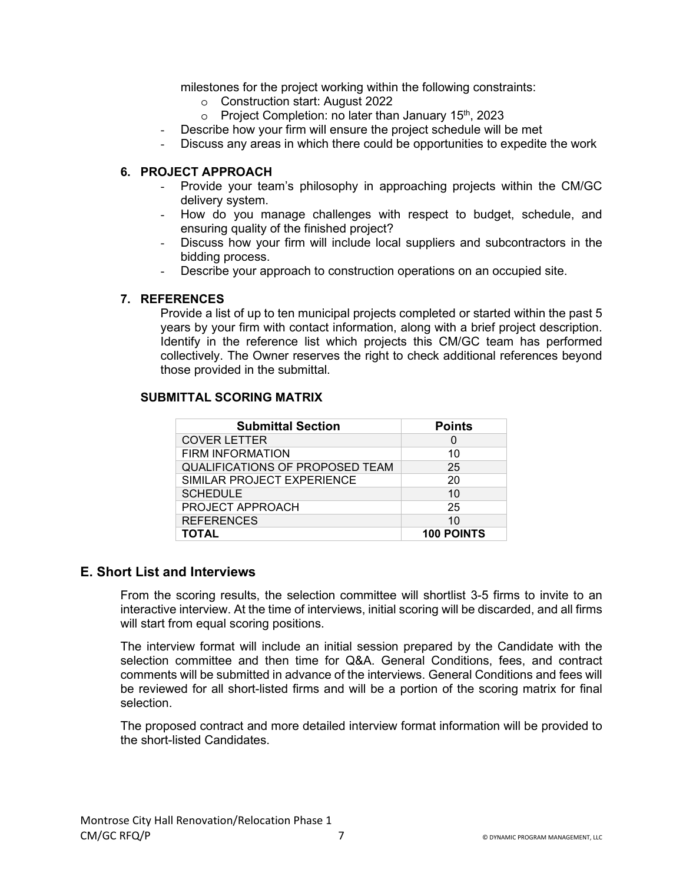milestones for the project working within the following constraints:

- o Construction start: August 2022
- $\circ$  Project Completion: no later than January 15<sup>th</sup>, 2023
- Describe how your firm will ensure the project schedule will be met
- Discuss any areas in which there could be opportunities to expedite the work

# **6. PROJECT APPROACH**

- Provide your team's philosophy in approaching projects within the CM/GC delivery system.
- How do you manage challenges with respect to budget, schedule, and ensuring quality of the finished project?
- Discuss how your firm will include local suppliers and subcontractors in the bidding process.
- Describe your approach to construction operations on an occupied site.

## **7. REFERENCES**

Provide a list of up to ten municipal projects completed or started within the past 5 years by your firm with contact information, along with a brief project description. Identify in the reference list which projects this CM/GC team has performed collectively. The Owner reserves the right to check additional references beyond those provided in the submittal.

## **SUBMITTAL SCORING MATRIX**

| <b>Submittal Section</b>               | <b>Points</b>     |
|----------------------------------------|-------------------|
| <b>COVER LETTER</b>                    | O                 |
| <b>FIRM INFORMATION</b>                | 10                |
| <b>QUALIFICATIONS OF PROPOSED TEAM</b> | 25                |
| SIMILAR PROJECT EXPERIENCE             | 20                |
| <b>SCHEDULE</b>                        | 10                |
| PROJECT APPROACH                       | 25                |
| <b>REFERENCES</b>                      | 10                |
| <b>TOTAL</b>                           | <b>100 POINTS</b> |

# **E. Short List and Interviews**

From the scoring results, the selection committee will shortlist 3-5 firms to invite to an interactive interview. At the time of interviews, initial scoring will be discarded, and all firms will start from equal scoring positions.

The interview format will include an initial session prepared by the Candidate with the selection committee and then time for Q&A. General Conditions, fees, and contract comments will be submitted in advance of the interviews. General Conditions and fees will be reviewed for all short-listed firms and will be a portion of the scoring matrix for final selection.

The proposed contract and more detailed interview format information will be provided to the short-listed Candidates.